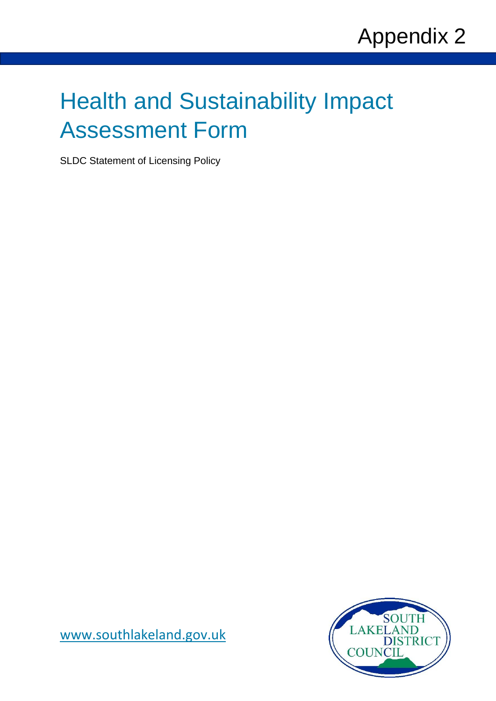# Health and Sustainability Impact Assessment Form

SLDC Statement of Licensing Policy



[www.southlakeland.gov.uk](http://www.southlakeland.gov.uk/)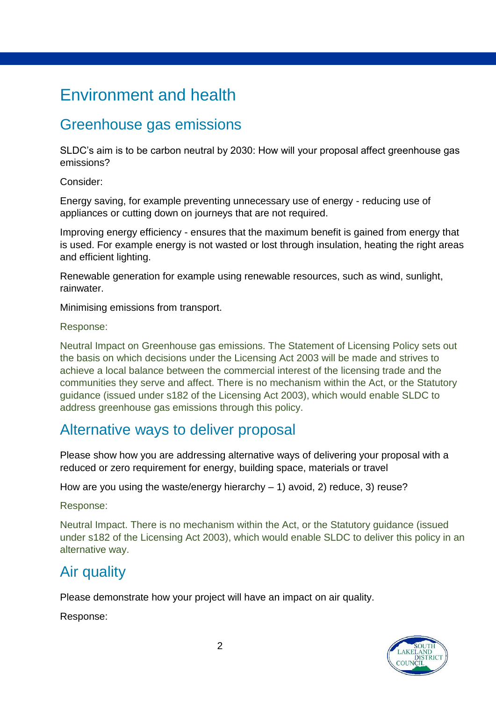# Environment and health

## Greenhouse gas emissions

SLDC's aim is to be carbon neutral by 2030: How will your proposal affect greenhouse gas emissions?

Consider:

Energy saving, for example preventing unnecessary use of energy - reducing use of appliances or cutting down on journeys that are not required.

Improving energy efficiency - ensures that the maximum benefit is gained from energy that is used. For example energy is not wasted or lost through insulation, heating the right areas and efficient lighting.

Renewable generation for example using renewable resources, such as wind, sunlight, rainwater.

Minimising emissions from transport.

Response:

Neutral Impact on Greenhouse gas emissions. The Statement of Licensing Policy sets out the basis on which decisions under the Licensing Act 2003 will be made and strives to achieve a local balance between the commercial interest of the licensing trade and the communities they serve and affect. There is no mechanism within the Act, or the Statutory guidance (issued under s182 of the Licensing Act 2003), which would enable SLDC to address greenhouse gas emissions through this policy.

## Alternative ways to deliver proposal

Please show how you are addressing alternative ways of delivering your proposal with a reduced or zero requirement for energy, building space, materials or travel

How are you using the waste/energy hierarchy  $-1$ ) avoid, 2) reduce, 3) reuse?

Response:

Neutral Impact. There is no mechanism within the Act, or the Statutory guidance (issued under s182 of the Licensing Act 2003), which would enable SLDC to deliver this policy in an alternative way.

## Air quality

Please demonstrate how your project will have an impact on air quality.

Response:

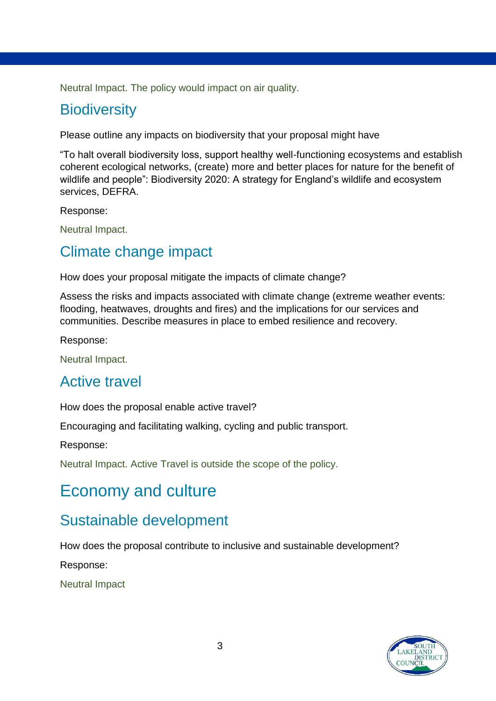Neutral Impact. The policy would impact on air quality.

## **Biodiversity**

Please outline any impacts on biodiversity that your proposal might have

"To halt overall biodiversity loss, support healthy well-functioning ecosystems and establish coherent ecological networks, (create) more and better places for nature for the benefit of wildlife and people": Biodiversity 2020: A strategy for England's wildlife and ecosystem services, DEFRA.

Response:

Neutral Impact.

#### Climate change impact

How does your proposal mitigate the impacts of climate change?

Assess the risks and impacts associated with climate change (extreme weather events: flooding, heatwaves, droughts and fires) and the implications for our services and communities. Describe measures in place to embed resilience and recovery.

Response:

Neutral Impact.

#### Active travel

How does the proposal enable active travel?

Encouraging and facilitating walking, cycling and public transport.

Response:

Neutral Impact. Active Travel is outside the scope of the policy.

## Economy and culture

#### Sustainable development

How does the proposal contribute to inclusive and sustainable development?

Response:

Neutral Impact

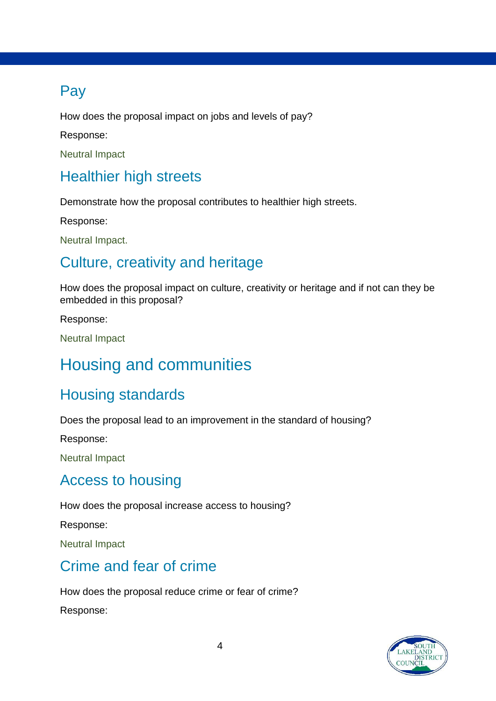# Pay

How does the proposal impact on jobs and levels of pay?

Response:

Neutral Impact

# Healthier high streets

Demonstrate how the proposal contributes to healthier high streets.

Response:

Neutral Impact.

## Culture, creativity and heritage

How does the proposal impact on culture, creativity or heritage and if not can they be embedded in this proposal?

Response:

Neutral Impact

# Housing and communities

## Housing standards

Does the proposal lead to an improvement in the standard of housing?

Response:

Neutral Impact

#### Access to housing

How does the proposal increase access to housing?

Response:

Neutral Impact

## Crime and fear of crime

How does the proposal reduce crime or fear of crime? Response:

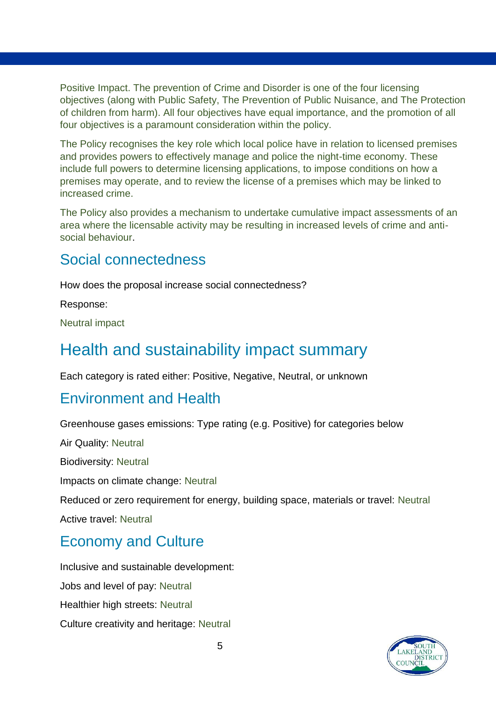Positive Impact. The prevention of Crime and Disorder is one of the four licensing objectives (along with Public Safety, The Prevention of Public Nuisance, and The Protection of children from harm). All four objectives have equal importance, and the promotion of all four objectives is a paramount consideration within the policy.

The Policy recognises the key role which local police have in relation to licensed premises and provides powers to effectively manage and police the night-time economy. These include full powers to determine licensing applications, to impose conditions on how a premises may operate, and to review the license of a premises which may be linked to increased crime.

The Policy also provides a mechanism to undertake cumulative impact assessments of an area where the licensable activity may be resulting in increased levels of crime and antisocial behaviour.

### Social connectedness

How does the proposal increase social connectedness?

Response:

Neutral impact

# Health and sustainability impact summary

Each category is rated either: Positive, Negative, Neutral, or unknown

## Environment and Health

Greenhouse gases emissions: Type rating (e.g. Positive) for categories below

Air Quality: Neutral Biodiversity: Neutral Impacts on climate change: Neutral Reduced or zero requirement for energy, building space, materials or travel: Neutral Active travel: Neutral Economy and Culture Inclusive and sustainable development:

Jobs and level of pay: Neutral Healthier high streets: Neutral Culture creativity and heritage: Neutral